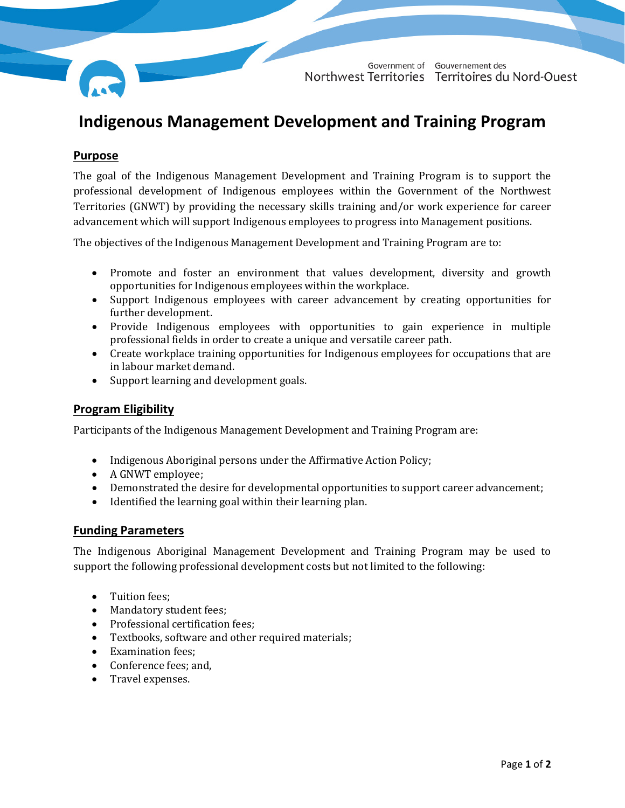

# **Indigenous Management Development and Training Program**

### **Purpose**

The goal of the Indigenous Management Development and Training Program is to support the professional development of Indigenous employees within the Government of the Northwest Territories (GNWT) by providing the necessary skills training and/or work experience for career advancement which will support Indigenous employees to progress into Management positions.

The objectives of the Indigenous Management Development and Training Program are to:

- Promote and foster an environment that values development, diversity and growth opportunities for Indigenous employees within the workplace.
- Support Indigenous employees with career advancement by creating opportunities for further development.
- Provide Indigenous employees with opportunities to gain experience in multiple professional fields in order to create a unique and versatile career path.
- Create workplace training opportunities for Indigenous employees for occupations that are in labour market demand.
- Support learning and development goals.

#### **Program Eligibility**

Participants of the Indigenous Management Development and Training Program are:

- Indigenous Aboriginal persons under the Affirmative Action Policy;
- A GNWT employee;
- Demonstrated the desire for developmental opportunities to support career advancement;
- Identified the learning goal within their learning plan.

#### **Funding Parameters**

The Indigenous Aboriginal Management Development and Training Program may be used to support the following professional development costs but not limited to the following:

- Tuition fees;
- Mandatory student fees;
- Professional certification fees;
- Textbooks, software and other required materials;
- Examination fees;
- Conference fees; and,
- Travel expenses.